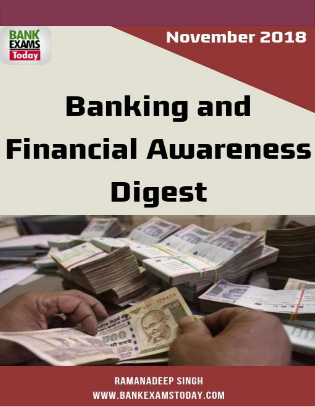

**November 2018** 

# **Banking and Financial Awareness** Digest



**RAMANADEEP SINGH** WWW.BANKEXAMSTODAY.COM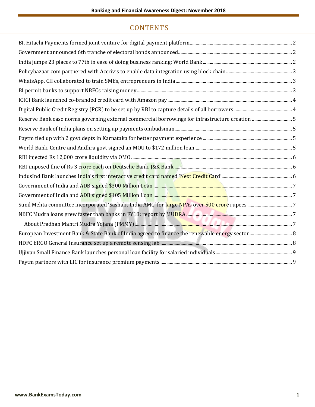#### **CONTENTS**

| Reserve Bank ease norms governing external commercial borrowings for infrastructure creation 5 |
|------------------------------------------------------------------------------------------------|
|                                                                                                |
|                                                                                                |
|                                                                                                |
|                                                                                                |
|                                                                                                |
|                                                                                                |
|                                                                                                |
|                                                                                                |
|                                                                                                |
|                                                                                                |
|                                                                                                |
|                                                                                                |
|                                                                                                |
|                                                                                                |
|                                                                                                |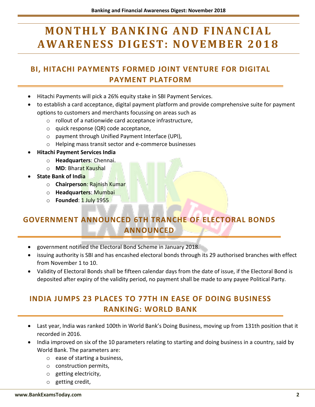## **MONTHLY BANKING AND FINANCIAL A W A R E N E S S D I G E S T : N OV E M B E R 2 0 1 8**

#### <span id="page-2-0"></span>**BI, HITACHI PAYMENTS FORMED JOINT VENTURE FOR DIGITAL PAYMENT PLATFORM**

- Hitachi Payments will pick a 26% equity stake in SBI Payment Services.
- to establish a card acceptance, digital payment platform and provide comprehensive suite for payment options to customers and merchants focussing on areas such as
	- o rollout of a nationwide card acceptance infrastructure,
	- o quick response (QR) code acceptance,
	- o payment through Unified Payment Interface (UPI),
	- o Helping mass transit sector and e-commerce businesses
- **Hitachi Payment Services India**
	- o **Headquarters**: Chennai.
	- o **MD**: Bharat Kaushal
- **State Bank of India**
	- o **Chairperson**: Rajnish Kumar
	- o **Headquarters**: Mumbai
	- o **Founded**: 1 July 1955

#### <span id="page-2-1"></span>**GOVERNMENT ANNOUNCED 6TH TRANCHE OF ELECTORAL BONDS ANNOUNCED**

- government notified the Electoral Bond Scheme in January 2018.
- issuing authority is SBI and has encashed electoral bonds through its 29 authorised branches with effect from November 1 to 10.
- Validity of Electoral Bonds shall be fifteen calendar days from the date of issue, if the Electoral Bond is deposited after expiry of the validity period, no payment shall be made to any payee Political Party.

#### <span id="page-2-2"></span>**INDIA JUMPS 23 PLACES TO 77TH IN EASE OF DOING BUSINESS RANKING: WORLD BANK**

- Last year, India was ranked 100th in World Bank's Doing Business, moving up from 131th position that it recorded in 2016.
- India improved on six of the 10 parameters relating to starting and doing business in a country, said by World Bank. The parameters are:
	- o ease of starting a business,
	- o construction permits,
	- o getting electricity,
	- o getting credit,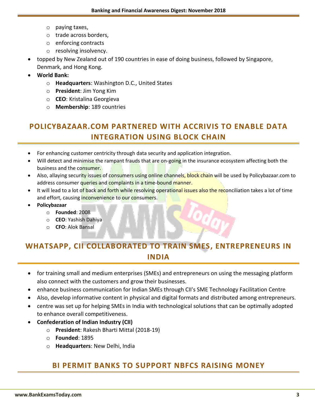- o paying taxes,
- o trade across borders,
- o enforcing contracts
- o resolving insolvency.
- topped by New Zealand out of 190 countries in ease of doing business, followed by Singapore,
- Denmark, and Hong Kong.
- **World Bank:**
	- o **Headquarters**: Washington D.C., United States
	- o **President**: Jim Yong Kim
	- o **CEO**: Kristalina Georgieva
	- o **Membership**: 189 countries

#### <span id="page-3-0"></span>**POLICYBAZAAR.COM PARTNERED WITH ACCRIVIS TO ENABLE DATA INTEGRATION USING BLOCK CHAIN**

- For enhancing customer centricity through data security and application integration.
- Will detect and minimise the rampant frauds that are on-going in the insurance ecosystem affecting both the business and the consumer.
- Also, allaying security issues of consumers using online channels, block chain will be used by Policybazaar.com to address consumer queries and complaints in a time-bound manner.
- It will lead to a lot of back and forth while resolving operational issues also the reconciliation takes a lot of time and effort, causing inconvenience to our consumers.
- **Policybazaar**
	- o **Founded**: 2008
	- o **CEO**: Yashish Dahiya
	- o **CFO**: Alok Bansal

#### <span id="page-3-1"></span>**WHATSAPP, CII COLLABORATED TO TRAIN SMES, ENTREPRENEURS IN INDIA**

- for training small and medium enterprises (SMEs) and entrepreneurs on using the messaging platform also connect with the customers and grow their businesses.
- enhance business communication for Indian SMEs through CII's SME Technology Facilitation Centre
- Also, develop informative content in physical and digital formats and distributed among entrepreneurs.
- centre was set up for helping SMEs in India with technological solutions that can be optimally adopted to enhance overall competitiveness.
- **Confederation of Indian Industry (CII)**
	- o **President**: Rakesh Bharti Mittal (2018-19)
	- o **Founded**: 1895
	- o **Headquarters**: New Delhi, India

#### <span id="page-3-2"></span>**BI PERMIT BANKS TO SUPPORT NBFCS RAISING MONEY**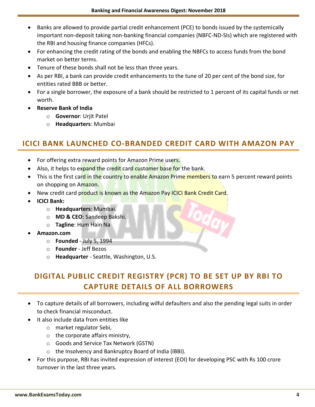- Banks are allowed to provide partial credit enhancement (PCE) to bonds issued by the systemically important non-deposit taking non-banking financial companies (NBFC-ND-SIs) which are registered with the RBI and housing finance companies (HFCs).
- For enhancing the credit rating of the bonds and enabling the NBFCs to access funds from the bond market on better terms.
- Tenure of these bonds shall not be less than three years.
- As per RBI, a bank can provide credit enhancements to the tune of 20 per cent of the bond size, for entities rated BBB or better.
- For a single borrower, the exposure of a bank should be restricted to 1 percent of its capital funds or net worth.
- **Reserve Bank of India**
	- o **Governor**: Urjit Patel
	- o **Headquarters**: Mumbai

#### <span id="page-4-0"></span>**ICICI BANK LAUNCHED CO-BRANDED CREDIT CARD WITH AMAZON PAY**

- For offering extra reward points for Amazon Prime users.
- Also, it helps to expand the credit card customer base for the bank.
- This is the first card in the country to enable Amazon Prime members to earn 5 percent reward points on shopping on Amazon.
- New credit card product is known as the Amazon Pay ICICI Bank Credit Card.
- **ICICI Bank:**
	- o **Headquarters**: Mumbai.
	- o **MD & CEO**: Sandeep Bakshi.
	- o **Tagline**: Hum Hain Na
- **Amazon.com**
	- o **Founded** July 5, 1994
	- o **Founder** Jeff Bezos
	- o **Headquarter** Seattle, Washington, U.S.

#### <span id="page-4-1"></span>**DIGITAL PUBLIC CREDIT REGISTRY (PCR) TO BE SET UP BY RBI TO CAPTURE DETAILS OF ALL BORROWERS**

- To capture details of all borrowers, including wilful defaulters and also the pending legal suits in order to check financial misconduct.
- **It also include data from entities like** 
	- o market regulator Sebi,
	- $\circ$  the corporate affairs ministry,
	- o Goods and Service Tax Network (GSTN)
	- o the Insolvency and Bankruptcy Board of India (IBBI).
- For this purpose, RBI has invited expression of interest (EOI) for developing PSC with Rs 100 crore turnover in the last three years.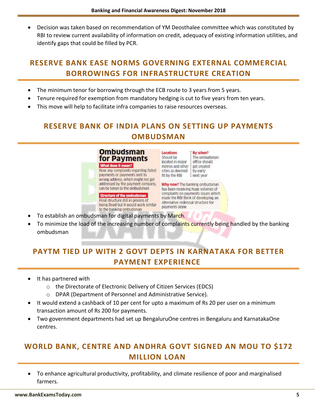Decision was taken based on recommendation of YM Deosthalee committee which was constituted by RBI to review current availability of information on credit, adequacy of existing information utilities, and identify gaps that could be filled by PCR.

#### <span id="page-5-0"></span>**RESERVE BANK EASE NORMS GOVERNING EXTERNAL COMMERCIAL BORROWINGS FOR INFRASTRUCTURE CREATION**

- The minimum tenor for borrowing through the ECB route to 3 years from 5 years.
- Tenure required for exemption from mandatory hedging is cut to five years from ten years.
- <span id="page-5-1"></span>This move will help to facilitate infra companies to raise resources overseas.

#### **RESERVE BANK OF INDIA PLANS ON SETTING UP PAYMENTS OMBUDSMAN**

**Ombudsman** for Payments What does it mean? Now any complaints regarding failed payments or payments sent to wrong address, which might not get addressed by the payment company, can be taken to the ombudsman

**Structure of the ombudsman** Final structure still in process of being fixed but it would work similar to the banking ombudsman

**Locations** By when? Should be The ombudsman located in major office should metros and other get created cities as deemed by early fit by the RBI I next year

Why now? The banking ombudsman has been receiving huge volumes of complaints on payments issues which made the RBI think of developing an alternative redressal structure for payments alone

- To establish an ombudsman for digital payments by March.
- To minimize the load of the increasing number of complaints currently being handled by the banking ombudsman

#### <span id="page-5-2"></span>**PAYTM TIED UP WITH 2 GOVT DEPTS IN KARNATAKA FOR BETTER PAYMENT EXPERIENCE**

- It has partnered with
	- o the Directorate of Electronic Delivery of Citizen Services (EDCS)
	- o DPAR (Department of Personnel and Administrative Service).
- It would extend a cashback of 10 per cent for upto a maximum of Rs 20 per user on a minimum transaction amount of Rs 200 for payments.
- Two government departments had set up BengaluruOne centres in Bengaluru and KarnatakaOne centres.

#### <span id="page-5-3"></span>**WORLD BANK, CENTRE AND ANDHRA GOVT SIGNED AN MOU TO \$172 MILLION LOAN**

 To enhance agricultural productivity, profitability, and climate resilience of poor and marginalised farmers.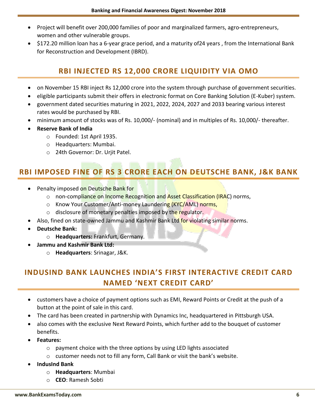- Project will benefit over 200,000 families of poor and marginalized farmers, agro-entrepreneurs, women and other vulnerable groups.
- <span id="page-6-0"></span> \$172.20 million loan has a 6-year grace period, and a maturity of24 years , from the International Bank for Reconstruction and Development (IBRD).

#### **RBI INJECTED RS 12,000 CRORE LIQUIDITY VIA OMO**

- on November 15 RBI inject Rs 12,000 crore into the system through purchase of government securities.
- eligible participants submit their offers in electronic format on Core Banking Solution (E-Kuber) system.
- government dated securities maturing in 2021, 2022, 2024, 2027 and 2033 bearing various interest rates would be purchased by RBI.
- minimum amount of stocks was of Rs. 10,000/- (nominal) and in multiples of Rs. 10,000/- thereafter.
- **Reserve Bank of India**
	- o Founded: 1st April 1935.
	- o Headquarters: Mumbai.
	- o 24th Governor: Dr. Urjit Patel.

#### <span id="page-6-1"></span>**RBI IMPOSED FINE OF RS 3 CRORE EACH ON DEUTSCHE BANK, J&K BANK**

- Penalty imposed on Deutsche Bank for
	- o non-compliance on Income Recognition and Asset Classification (IRAC) norms,
	- o Know Your Customer/Anti-money Laundering (KYC/AML) norms,
	- $\circ$  disclosure of monetary penalties imposed by the regulator.
- Also, fined on state-owned Jammu and Kashmir Bank Ltd for violating similar norms.
- **Deutsche Bank:**
	- o **Headquarters:** Frankfurt, Germany.
- **Jammu and Kashmir Bank Ltd:**
	- o **Headquarters**: Srinagar, J&K.

### <span id="page-6-2"></span>**INDUSIND BANK LAUNCHES INDIA'S FIRST INTERACTIVE CREDIT CARD NAMED 'NEXT CREDIT CARD'**

- customers have a choice of payment options such as EMI, Reward Points or Credit at the push of a button at the point of sale in this card.
- The card has been created in partnership with Dynamics Inc, headquartered in Pittsburgh USA.
- also comes with the exclusive Next Reward Points, which further add to the bouquet of customer benefits.
- **Features:**
	- o payment choice with the three options by using LED lights associated
	- o customer needs not to fill any form, Call Bank or visit the bank's website.
- **IndusInd Bank**
	- o **Headquarters**: Mumbai
	- o **CEO**: Ramesh Sobti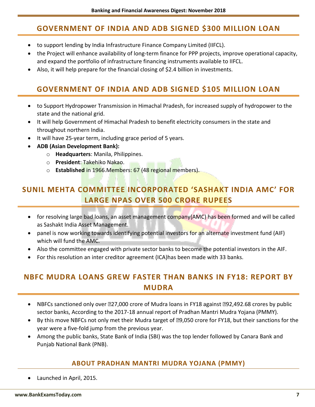#### <span id="page-7-0"></span>**GOVERNMENT OF INDIA AND ADB SIGNED \$300 MILLION LOAN**

- to support lending by India Infrastructure Finance Company Limited (IIFCL).
- the Project will enhance availability of long-term finance for PPP projects, improve operational capacity, and expand the portfolio of infrastructure financing instruments available to IIFCL.
- <span id="page-7-1"></span>Also, it will help prepare for the financial closing of \$2.4 billion in investments.

#### **GOVERNMENT OF INDIA AND ADB SIGNED \$105 MILLION LOAN**

- to Support Hydropower Transmission in Himachal Pradesh, for increased supply of hydropower to the state and the national grid.
- It will help Government of Himachal Pradesh to benefit electricity consumers in the state and throughout northern India.
- It will have 25-year term, including grace period of 5 years.
- **ADB (Asian Development Bank):**
	- o **Headquarters**: Manila, Philippines.
	- o **President**: Takehiko Nakao.
	- o **Established** in 1966.Members: 67 (48 regional members).

#### <span id="page-7-2"></span>**SUNIL MEHTA COMMITTEE INCORPORATED 'SASHAKT INDIA AMC' FOR LARGE NPAS OVER 500 CRORE RUPEES**

- for resolving large bad loans, an asset management company(AMC) has been formed and will be called as Sashakt India Asset Management.
- panel is now working towards identifying potential investors for an alternate investment fund (AIF) which will fund the AMC.
- Also the committee engaged with private sector banks to become the potential investors in the AIF.
- For this resolution an inter creditor agreement (ICA)has been made with 33 banks.

#### <span id="page-7-3"></span>**NBFC MUDRA LOANS GREW FASTER THAN BANKS IN FY18: REPORT BY MUDRA**

- NBFCs sanctioned only over 227,000 crore of Mudra loans in FY18 against 292,492.68 crores by public sector banks, According to the 2017-18 annual report of Pradhan Mantri Mudra Yojana (PMMY).
- By this move NBFCs not only met their Mudra target of **₹9,050** crore for FY18, but their sanctions for the year were a five-fold jump from the previous year.
- <span id="page-7-4"></span> Among the public banks, State Bank of India (SBI) was the top lender followed by Canara Bank and Punjab National Bank (PNB).

#### **ABOUT PRADHAN MANTRI MUDRA YOJANA (PMMY)**

Launched in April, 2015.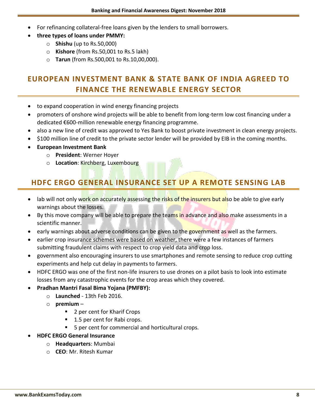- For refinancing collateral-free loans given by the lenders to small borrowers.
- **three types of loans under PMMY:**
	- o **Shishu** (up to Rs.50,000)
	- o **Kishore** (from Rs.50,001 to Rs.5 lakh)
	- o **Tarun** (from Rs.500,001 to Rs.10,00,000).

#### <span id="page-8-0"></span>**EUROPEAN INVESTMENT BANK & STATE BANK OF INDIA AGREED TO FINANCE THE RENEWABLE ENERGY SECTOR**

- to expand cooperation in wind energy financing projects
- promoters of onshore wind projects will be able to benefit from long-term low cost financing under a dedicated €600-million renewable energy financing programme.
- also a new line of credit was approved to Yes Bank to boost private investment in clean energy projects.
- \$100 million line of credit to the private sector lender will be provided by EIB in the coming months.
- **European Investment Bank**
	- o **President**: Werner Hoyer
	- o **Location**: Kirchberg, Luxembourg

#### <span id="page-8-1"></span>**HDFC ERGO GENERAL INSURANCE SET UP A REMOTE SENSING LAB**

- lab will not only work on accurately assessing the risks of the insurers but also be able to give early warnings about the losses.
- By this move company will be able to prepare the teams in advance and also make assessments in a scientific manner.
- e early warnings about adverse conditions can be given to the government as well as the farmers.
- earlier crop insurance schemes were based on weather, there were a few instances of farmers submitting fraudulent claims with respect to crop yield data and crop loss.
- government also encouraging insurers to use smartphones and remote sensing to reduce crop cutting experiments and help cut delay in payments to farmers.
- HDFC ERGO was one of the first non-life insurers to use drones on a pilot basis to look into estimate losses from any catastrophic events for the crop areas which they covered.
- **Pradhan Mantri Fasal Bima Yojana (PMFBY):**
	- o **Launched** 13th Feb 2016.
	- o **premium**
		- 2 per cent for Kharif Crops
		- 1.5 per cent for Rabi crops.
		- 5 per cent for commercial and horticultural crops.
- **HDFC ERGO General Insurance**
	- o **Headquarters**: Mumbai
	- o **CEO**: Mr. Ritesh Kumar